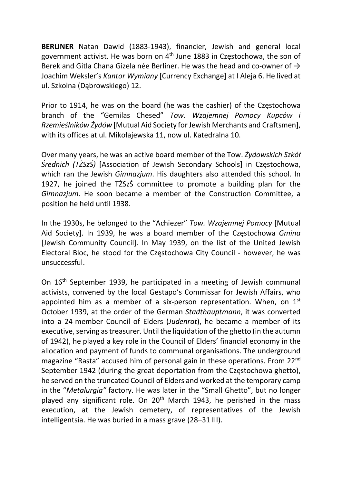BERLINER Natan Dawid (1883-1943), financier, Jewish and general local government activist. He was born on 4th June 1883 in Częstochowa, the son of Berek and Gitla Chana Gizela née Berliner. He was the head and co-owner of  $\rightarrow$ Joachim Weksler's Kantor Wymiany [Currency Exchange] at I Aleja 6. He lived at ul. Szkolna (Dąbrowskiego) 12.

Prior to 1914, he was on the board (he was the cashier) of the Częstochowa branch of the "Gemilas Chesed" Tow. Wzajemnej Pomocy Kupców i Rzemieślników Żydów [Mutual Aid Society for Jewish Merchants and Craftsmen], with its offices at ul. Mikołajewska 11, now ul. Katedralna 10.

Over many years, he was an active board member of the Tow. Żydowskich Szkół Średnich (TŻSzŚ) [Association of Jewish Secondary Schools] in Częstochowa, which ran the Jewish Gimnazjum. His daughters also attended this school. In 1927, he joined the TŻSzŚ committee to promote a building plan for the Gimnazjum. He soon became a member of the Construction Committee, a position he held until 1938.

In the 1930s, he belonged to the "Achiezer" Tow. Wzajemnej Pomocy [Mutual Aid Society]. In 1939, he was a board member of the Częstochowa Gmina [Jewish Community Council]. In May 1939, on the list of the United Jewish Electoral Bloc, he stood for the Częstochowa City Council - however, he was unsuccessful.

On 16<sup>th</sup> September 1939, he participated in a meeting of Jewish communal activists, convened by the local Gestapo's Commissar for Jewish Affairs, who appointed him as a member of a six-person representation. When, on  $1<sup>st</sup>$ October 1939, at the order of the German Stadthauptmann, it was converted into a 24-member Council of Elders (Judenrat), he became a member of its executive, serving as treasurer. Until the liquidation of the ghetto (in the autumn of 1942), he played a key role in the Council of Elders' financial economy in the allocation and payment of funds to communal organisations. The underground magazine "Rasta" accused him of personal gain in these operations. From 22<sup>nd</sup> September 1942 (during the great deportation from the Częstochowa ghetto), he served on the truncated Council of Elders and worked at the temporary camp in the "Metalurgia" factory. He was later in the "Small Ghetto", but no longer played any significant role. On  $20<sup>th</sup>$  March 1943, he perished in the mass execution, at the Jewish cemetery, of representatives of the Jewish intelligentsia. He was buried in a mass grave (28–31 III).